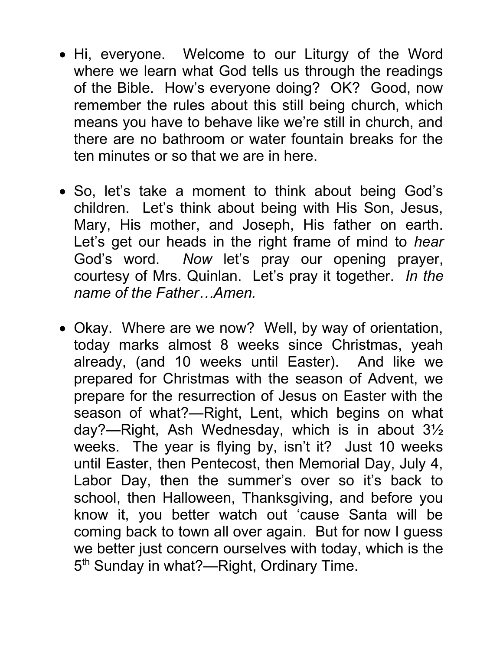- Hi, everyone. Welcome to our Liturgy of the Word where we learn what God tells us through the readings of the Bible. How's everyone doing? OK? Good, now remember the rules about this still being church, which means you have to behave like we're still in church, and there are no bathroom or water fountain breaks for the ten minutes or so that we are in here.
- So, let's take a moment to think about being God's children. Let's think about being with His Son, Jesus, Mary, His mother, and Joseph, His father on earth. Let's get our heads in the right frame of mind to hear God's word. Now let's pray our opening prayer, courtesy of Mrs. Quinlan. Let's pray it together. In the name of the Father…Amen.
- Okay. Where are we now? Well, by way of orientation, today marks almost 8 weeks since Christmas, yeah already, (and 10 weeks until Easter). And like we prepared for Christmas with the season of Advent, we prepare for the resurrection of Jesus on Easter with the season of what?—Right, Lent, which begins on what day?—Right, Ash Wednesday, which is in about 3½ weeks. The year is flying by, isn't it? Just 10 weeks until Easter, then Pentecost, then Memorial Day, July 4, Labor Day, then the summer's over so it's back to school, then Halloween, Thanksgiving, and before you know it, you better watch out 'cause Santa will be coming back to town all over again. But for now I guess we better just concern ourselves with today, which is the 5<sup>th</sup> Sunday in what?—Right, Ordinary Time.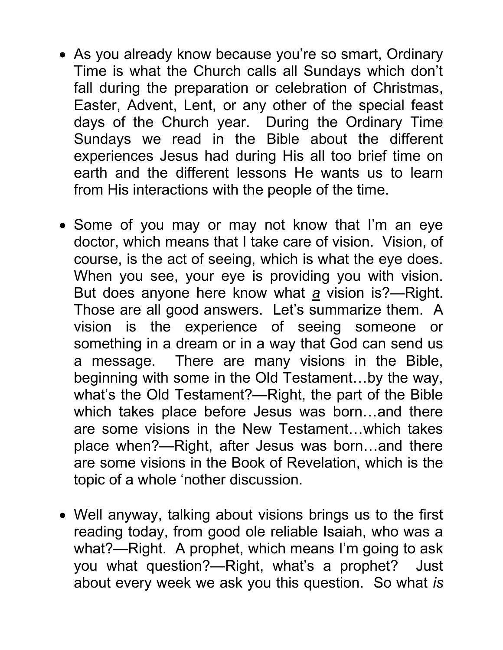- As you already know because you're so smart, Ordinary Time is what the Church calls all Sundays which don't fall during the preparation or celebration of Christmas, Easter, Advent, Lent, or any other of the special feast days of the Church year. During the Ordinary Time Sundays we read in the Bible about the different experiences Jesus had during His all too brief time on earth and the different lessons He wants us to learn from His interactions with the people of the time.
- Some of you may or may not know that I'm an eye doctor, which means that I take care of vision. Vision, of course, is the act of seeing, which is what the eye does. When you see, your eye is providing you with vision. But does anyone here know what  $a$  vision is?—Right. Those are all good answers. Let's summarize them. A vision is the experience of seeing someone or something in a dream or in a way that God can send us a message. There are many visions in the Bible, beginning with some in the Old Testament…by the way, what's the Old Testament?—Right, the part of the Bible which takes place before Jesus was born…and there are some visions in the New Testament…which takes place when?—Right, after Jesus was born…and there are some visions in the Book of Revelation, which is the topic of a whole 'nother discussion.
- Well anyway, talking about visions brings us to the first reading today, from good ole reliable Isaiah, who was a what?—Right. A prophet, which means I'm going to ask you what question?—Right, what's a prophet? Just about every week we ask you this question. So what is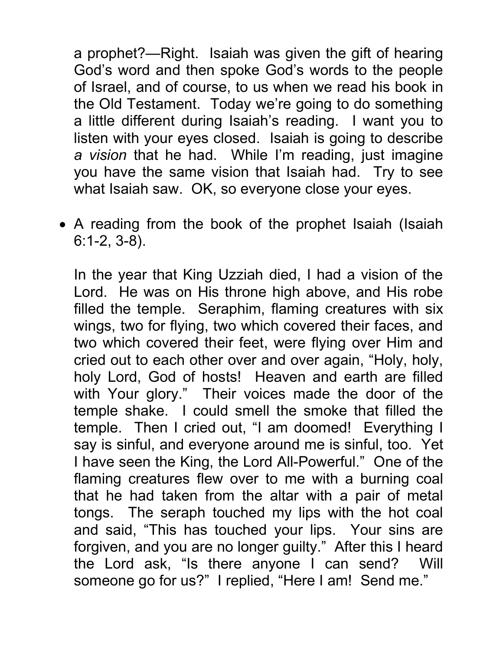a prophet?—Right. Isaiah was given the gift of hearing God's word and then spoke God's words to the people of Israel, and of course, to us when we read his book in the Old Testament. Today we're going to do something a little different during Isaiah's reading. I want you to listen with your eyes closed. Isaiah is going to describe a vision that he had. While I'm reading, just imagine you have the same vision that Isaiah had. Try to see what Isaiah saw. OK, so everyone close your eyes.

• A reading from the book of the prophet Isaiah (Isaiah 6:1-2, 3-8).

In the year that King Uzziah died, I had a vision of the Lord. He was on His throne high above, and His robe filled the temple. Seraphim, flaming creatures with six wings, two for flying, two which covered their faces, and two which covered their feet, were flying over Him and cried out to each other over and over again, "Holy, holy, holy Lord, God of hosts! Heaven and earth are filled with Your glory." Their voices made the door of the temple shake. I could smell the smoke that filled the temple. Then I cried out, "I am doomed! Everything I say is sinful, and everyone around me is sinful, too. Yet I have seen the King, the Lord All-Powerful." One of the flaming creatures flew over to me with a burning coal that he had taken from the altar with a pair of metal tongs. The seraph touched my lips with the hot coal and said, "This has touched your lips. Your sins are forgiven, and you are no longer guilty." After this I heard the Lord ask, "Is there anyone I can send? Will someone go for us?" I replied, "Here I am! Send me."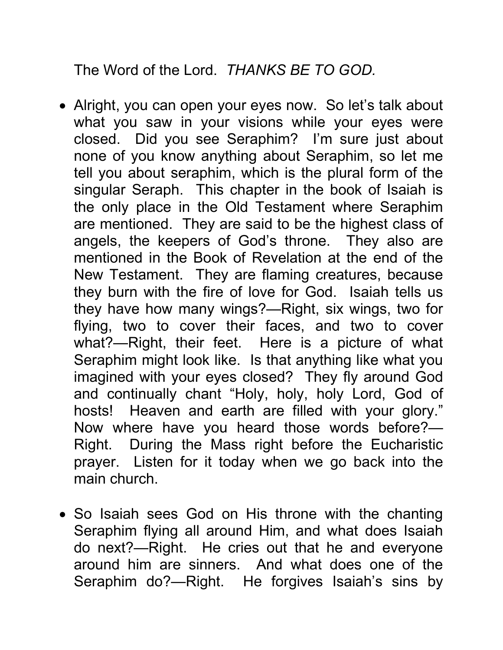The Word of the Lord. THANKS BE TO GOD.

- Alright, you can open your eyes now. So let's talk about what you saw in your visions while your eyes were closed. Did you see Seraphim? I'm sure just about none of you know anything about Seraphim, so let me tell you about seraphim, which is the plural form of the singular Seraph. This chapter in the book of Isaiah is the only place in the Old Testament where Seraphim are mentioned. They are said to be the highest class of angels, the keepers of God's throne. They also are mentioned in the Book of Revelation at the end of the New Testament. They are flaming creatures, because they burn with the fire of love for God. Isaiah tells us they have how many wings?—Right, six wings, two for flying, two to cover their faces, and two to cover what?—Right, their feet. Here is a picture of what Seraphim might look like. Is that anything like what you imagined with your eyes closed? They fly around God and continually chant "Holy, holy, holy Lord, God of hosts! Heaven and earth are filled with your glory." Now where have you heard those words before?— Right. During the Mass right before the Eucharistic prayer. Listen for it today when we go back into the main church.
- So Isaiah sees God on His throne with the chanting Seraphim flying all around Him, and what does Isaiah do next?—Right. He cries out that he and everyone around him are sinners. And what does one of the Seraphim do?—Right. He forgives Isaiah's sins by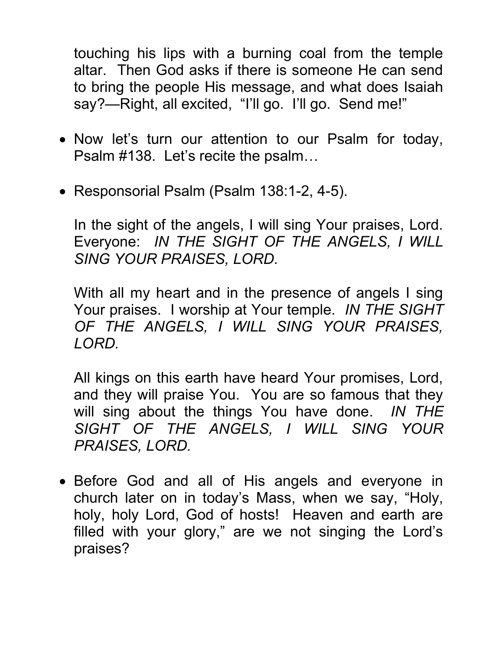touching his lips with a burning coal from the temple altar. Then God asks if there is someone He can send to bring the people His message, and what does Isaiah say?—Right, all excited, "I'll go. I'll go. Send me!"

- Now let's turn our attention to our Psalm for today, Psalm #138. Let's recite the psalm…
- Responsorial Psalm (Psalm 138:1-2, 4-5).

In the sight of the angels, I will sing Your praises, Lord. Everyone: IN THE SIGHT OF THE ANGELS, I WILL SING YOUR PRAISES, LORD.

With all my heart and in the presence of angels I sing Your praises. I worship at Your temple. IN THE SIGHT OF THE ANGELS, I WILL SING YOUR PRAISES, LORD.

All kings on this earth have heard Your promises, Lord, and they will praise You. You are so famous that they will sing about the things You have done. IN THE SIGHT OF THE ANGELS, I WILL SING YOUR PRAISES, LORD.

• Before God and all of His angels and everyone in church later on in today's Mass, when we say, "Holy, holy, holy Lord, God of hosts! Heaven and earth are filled with your glory," are we not singing the Lord's praises?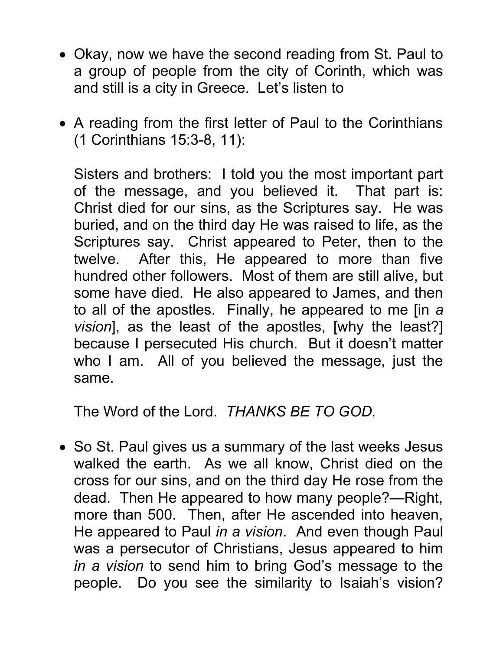- Okay, now we have the second reading from St. Paul to a group of people from the city of Corinth, which was and still is a city in Greece. Let's listen to
- A reading from the first letter of Paul to the Corinthians (1 Corinthians 15:3-8, 11):

Sisters and brothers: I told you the most important part of the message, and you believed it. That part is: Christ died for our sins, as the Scriptures say. He was buried, and on the third day He was raised to life, as the Scriptures say. Christ appeared to Peter, then to the twelve. After this, He appeared to more than five hundred other followers. Most of them are still alive, but some have died. He also appeared to James, and then to all of the apostles. Finally, he appeared to me [in a vision], as the least of the apostles, [why the least?] because I persecuted His church. But it doesn't matter who I am. All of you believed the message, just the same.

The Word of the Lord. THANKS BE TO GOD.

• So St. Paul gives us a summary of the last weeks Jesus walked the earth. As we all know, Christ died on the cross for our sins, and on the third day He rose from the dead. Then He appeared to how many people?—Right, more than 500. Then, after He ascended into heaven, He appeared to Paul in a vision. And even though Paul was a persecutor of Christians, Jesus appeared to him in a vision to send him to bring God's message to the people. Do you see the similarity to Isaiah's vision?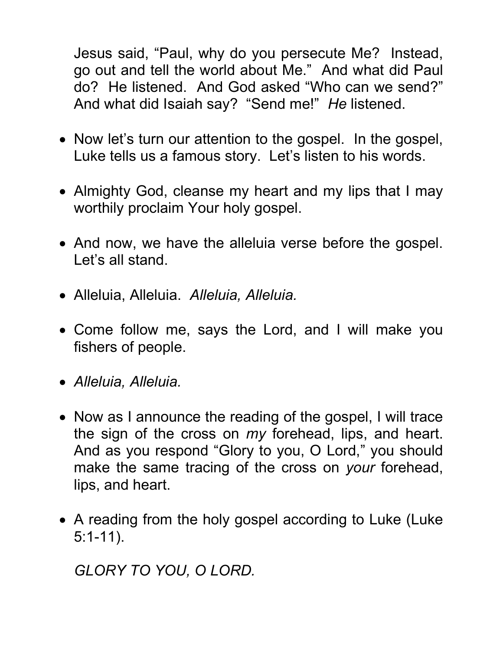Jesus said, "Paul, why do you persecute Me? Instead, go out and tell the world about Me." And what did Paul do? He listened. And God asked "Who can we send?" And what did Isaiah say? "Send me!" He listened.

- Now let's turn our attention to the gospel. In the gospel, Luke tells us a famous story. Let's listen to his words.
- Almighty God, cleanse my heart and my lips that I may worthily proclaim Your holy gospel.
- And now, we have the alleluia verse before the gospel. Let's all stand.
- Alleluia, Alleluia. Alleluia, Alleluia.
- Come follow me, says the Lord, and I will make you fishers of people.
- Alleluia, Alleluia.
- Now as I announce the reading of the gospel, I will trace the sign of the cross on my forehead, lips, and heart. And as you respond "Glory to you, O Lord," you should make the same tracing of the cross on your forehead, lips, and heart.
- A reading from the holy gospel according to Luke (Luke 5:1-11).

GLORY TO YOU, O LORD.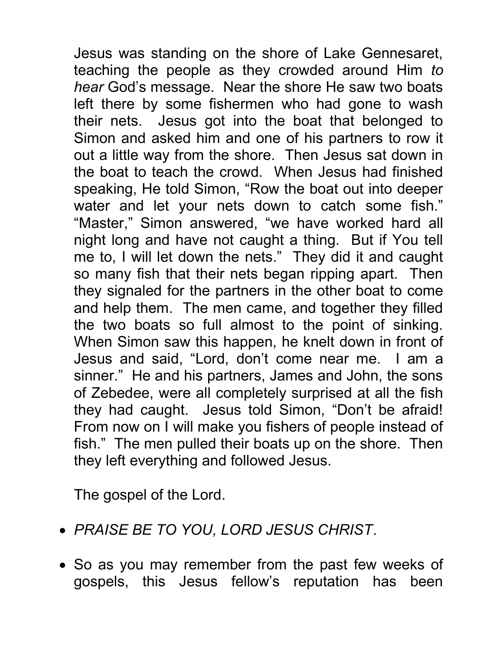Jesus was standing on the shore of Lake Gennesaret, teaching the people as they crowded around Him to hear God's message. Near the shore He saw two boats left there by some fishermen who had gone to wash their nets. Jesus got into the boat that belonged to Simon and asked him and one of his partners to row it out a little way from the shore. Then Jesus sat down in the boat to teach the crowd. When Jesus had finished speaking, He told Simon, "Row the boat out into deeper water and let your nets down to catch some fish." "Master," Simon answered, "we have worked hard all night long and have not caught a thing. But if You tell me to, I will let down the nets." They did it and caught so many fish that their nets began ripping apart. Then they signaled for the partners in the other boat to come and help them. The men came, and together they filled the two boats so full almost to the point of sinking. When Simon saw this happen, he knelt down in front of Jesus and said, "Lord, don't come near me. I am a sinner." He and his partners, James and John, the sons of Zebedee, were all completely surprised at all the fish they had caught. Jesus told Simon, "Don't be afraid! From now on I will make you fishers of people instead of fish." The men pulled their boats up on the shore. Then they left everything and followed Jesus.

The gospel of the Lord.

- PRAISE BE TO YOU, LORD JESUS CHRIST.
- So as you may remember from the past few weeks of gospels, this Jesus fellow's reputation has been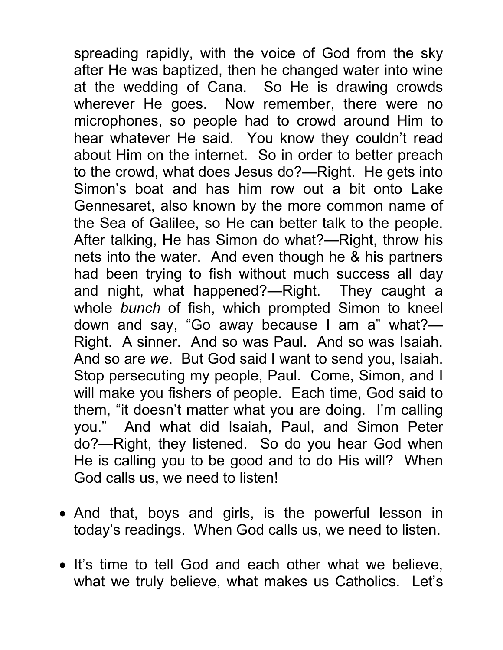spreading rapidly, with the voice of God from the sky after He was baptized, then he changed water into wine at the wedding of Cana. So He is drawing crowds wherever He goes. Now remember, there were no microphones, so people had to crowd around Him to hear whatever He said. You know they couldn't read about Him on the internet. So in order to better preach to the crowd, what does Jesus do?—Right. He gets into Simon's boat and has him row out a bit onto Lake Gennesaret, also known by the more common name of the Sea of Galilee, so He can better talk to the people. After talking, He has Simon do what?—Right, throw his nets into the water. And even though he & his partners had been trying to fish without much success all day and night, what happened?—Right. They caught a whole bunch of fish, which prompted Simon to kneel down and say, "Go away because I am a" what?— Right. A sinner. And so was Paul. And so was Isaiah. And so are we. But God said I want to send you, Isaiah. Stop persecuting my people, Paul. Come, Simon, and I will make you fishers of people. Each time, God said to them, "it doesn't matter what you are doing. I'm calling you." And what did Isaiah, Paul, and Simon Peter do?—Right, they listened. So do you hear God when He is calling you to be good and to do His will? When God calls us, we need to listen!

- And that, boys and girls, is the powerful lesson in today's readings. When God calls us, we need to listen.
- It's time to tell God and each other what we believe, what we truly believe, what makes us Catholics. Let's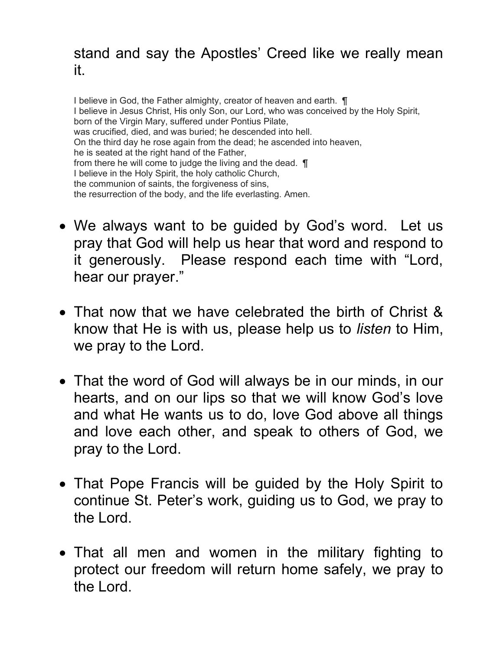## stand and say the Apostles' Creed like we really mean it.

I believe in God, the Father almighty, creator of heaven and earth.  $\P$ I believe in Jesus Christ, His only Son, our Lord, who was conceived by the Holy Spirit, born of the Virgin Mary, suffered under Pontius Pilate, was crucified, died, and was buried; he descended into hell. On the third day he rose again from the dead; he ascended into heaven, he is seated at the right hand of the Father, from there he will come to judge the living and the dead. ¶ I believe in the Holy Spirit, the holy catholic Church, the communion of saints, the forgiveness of sins, the resurrection of the body, and the life everlasting. Amen.

- We always want to be guided by God's word. Let us pray that God will help us hear that word and respond to it generously. Please respond each time with "Lord, hear our prayer."
- That now that we have celebrated the birth of Christ & know that He is with us, please help us to listen to Him, we pray to the Lord.
- That the word of God will always be in our minds, in our hearts, and on our lips so that we will know God's love and what He wants us to do, love God above all things and love each other, and speak to others of God, we pray to the Lord.
- That Pope Francis will be guided by the Holy Spirit to continue St. Peter's work, guiding us to God, we pray to the Lord.
- That all men and women in the military fighting to protect our freedom will return home safely, we pray to the Lord.